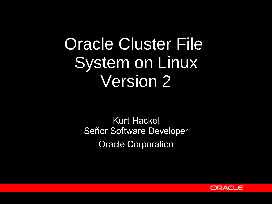# Oracle Cluster File System on Linux Version 2

Kurt Hackel Señor Software Developer Oracle Corporation

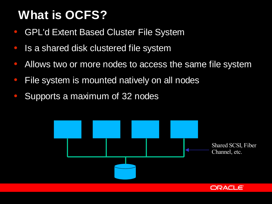# **What is OCFS?**

- **GPL'd Extent Based Cluster File System**
- Is a shared disk clustered file system
- Allows two or more nodes to access the same file system
- File system is mounted natively on all nodes
- Supports a maximum of 32 nodes

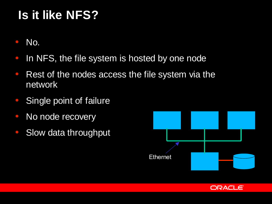# **Is it like NFS?**

- No.
- In NFS, the file system is hosted by one node
- Rest of the nodes access the file system via the network
- Single point of failure
- No node recovery
- Slow data throughput



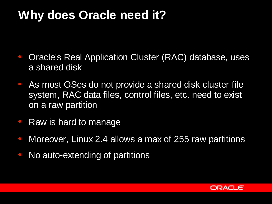#### **Why does Oracle need it?**

- Oracle's Real Application Cluster (RAC) database, uses a shared disk
- As most OSes do not provide a shared disk cluster file system, RAC data files, control files, etc. need to exist on a raw partition
- Raw is hard to manage
- Moreover, Linux 2.4 allows a max of 255 raw partitions
- No auto-extending of partitions

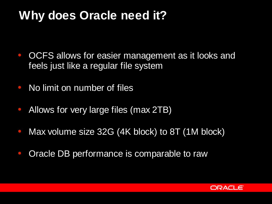#### **Why does Oracle need it?**

- OCFS allows for easier management as it looks and feels just like a regular file system
- No limit on number of files
- Allows for very large files (max 2TB)
- Max volume size 32G (4K block) to 8T (1M block)
- Oracle DB performance is comparable to raw

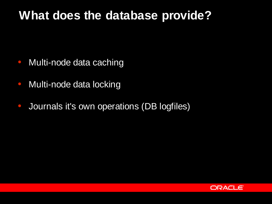#### **What does the database provide?**

- Multi-node data caching
- Multi-node data locking
- Journals it's own operations (DB logfiles)

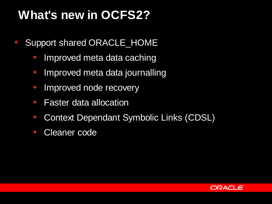# **What's new in OCFS2?**

- Support shared ORACLE\_HOME
	- Improved meta data caching
	- Improved meta data journalling
	- Improved node recovery
	- Faster data allocation
	- Context Dependant Symbolic Links (CDSL)
	- **Cleaner code**

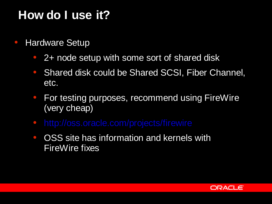### **How do I use it?**

- Hardware Setup
	- 2+ node setup with some sort of shared disk
	- Shared disk could be Shared SCSI, Fiber Channel, etc.
	- For testing purposes, recommend using FireWire (very cheap)
	- http://oss.oracle.com/projects/firewire
	- OSS site has information and kernels with FireWire fixes

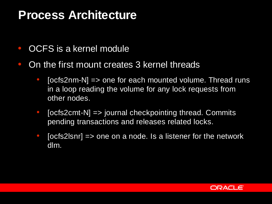#### **Process Architecture**

- OCFS is a kernel module
- On the first mount creates 3 kernel threads
	- $\bullet$  [ocfs2nm-N] => one for each mounted volume. Thread runs in a loop reading the volume for any lock requests from other nodes.
	- $\bullet$  [ocfs2cmt-N] => journal checkpointing thread. Commits pending transactions and releases related locks.
	- $\bullet$  [ocfs2lsnr] => one on a node. Is a listener for the network dlm.

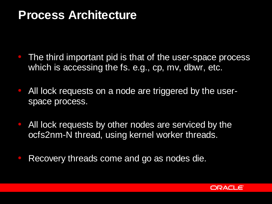#### **Process Architecture**

- The third important pid is that of the user-space process which is accessing the fs. e.g., cp, mv, dbwr, etc.
- All lock requests on a node are triggered by the userspace process.
- All lock requests by other nodes are serviced by the ocfs2nm-N thread, using kernel worker threads.
- Recovery threads come and go as nodes die.

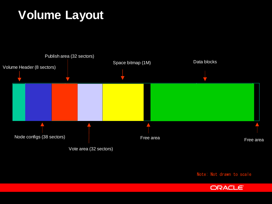# **Volume Layout**



Note: Not drawn to scale

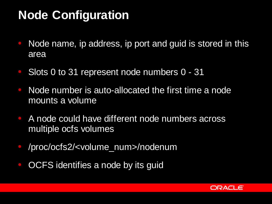#### **Node Configuration**

- Node name, ip address, ip port and guid is stored in this area
- Slots 0 to 31 represent node numbers 0 31
- Node number is auto-allocated the first time a node mounts a volume
- A node could have different node numbers across multiple ocfs volumes
- /proc/ocfs2/<volume\_num>/nodenum
- OCFS identifies a node by its guid

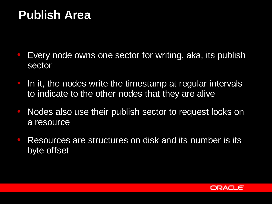#### **Publish Area**

- Every node owns one sector for writing, aka, its publish sector
- **In it, the nodes write the timestamp at regular intervals** to indicate to the other nodes that they are alive
- Nodes also use their publish sector to request locks on a resource
- Resources are structures on disk and its number is its byte offset

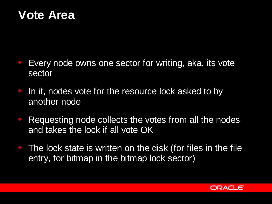#### **Vote Area**

- Every node owns one sector for writing, aka, its vote sector
- In it, nodes vote for the resource lock asked to by another node
- Requesting node collects the votes from all the nodes and takes the lock if all vote OK
- The lock state is written on the disk (for files in the file entry, for bitmap in the bitmap lock sector)

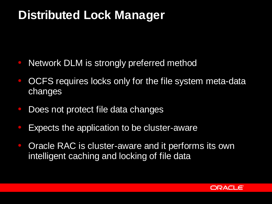#### **Distributed Lock Manager**

- Network DLM is strongly preferred method
- OCFS requires locks only for the file system meta-data changes
- Does not protect file data changes
- Expects the application to be cluster-aware
- Oracle RAC is cluster-aware and it performs its own intelligent caching and locking of file data

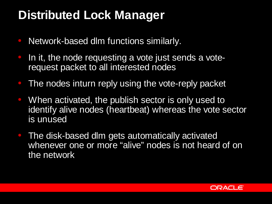#### **Distributed Lock Manager**

- Network-based dlm functions similarly.
- In it, the node requesting a vote just sends a voterequest packet to all interested nodes
- The nodes inturn reply using the vote-reply packet
- When activated, the publish sector is only used to identify alive nodes (heartbeat) whereas the vote sector is unused
- The disk-based dlm gets automatically activated whenever one or more "alive" nodes is not heard of on the network

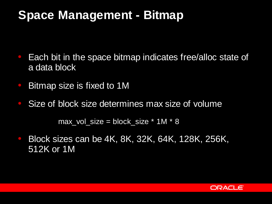#### **Space Management - Bitmap**

- Each bit in the space bitmap indicates free/alloc state of a data block
- Bitmap size is fixed to 1M
- Size of block size determines max size of volume

 $max\_vol\_size = block\_size * 1M * 8$ 

• Block sizes can be 4K, 8K, 32K, 64K, 128K, 256K, 512K or 1M

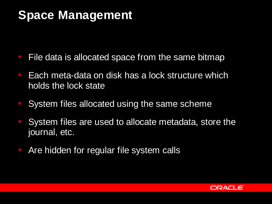#### **Space Management**

- File data is allocated space from the same bitmap
- Each meta-data on disk has a lock structure which holds the lock state
- System files allocated using the same scheme
- System files are used to allocate metadata, store the journal, etc.
- Are hidden for regular file system calls

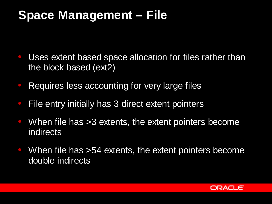#### **Space Management – File**

- Uses extent based space allocation for files rather than the block based (ext2)
- Requires less accounting for very large files
- File entry initially has 3 direct extent pointers
- $\bullet$  When file has  $>3$  extents, the extent pointers become indirects
- $\bullet$  When file has  $>54$  extents, the extent pointers become double indirects

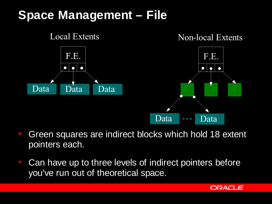## **Space Management – File**



- Green squares are indirect blocks which hold 18 extent pointers each.
- Can have up to three levels of indirect pointers before you've run out of theoretical space.

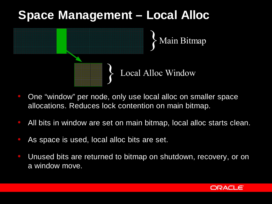# **Space Management – Local Alloc**

Main Bitmap

Local Alloc Window

- One "window" per node, only use local alloc on smaller space allocations. Reduces lock contention on main bitmap.
- All bits in window are set on main bitmap, local alloc starts clean.
- As space is used, local alloc bits are set.
- Unused bits are returned to bitmap on shutdown, recovery, or on a window move.

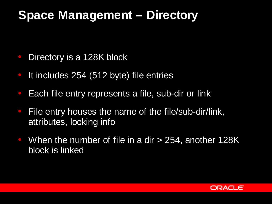#### **Space Management – Directory**

- Directory is a 128K block
- It includes 254 (512 byte) file entries
- Each file entry represents a file, sub-dir or link
- File entry houses the name of the file/sub-dir/link, attributes, locking info
- $\bullet$  When the number of file in a dir  $>$  254, another 128K block is linked

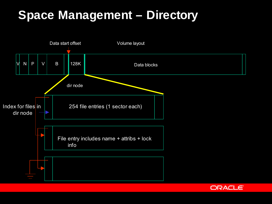## **Space Management – Directory**



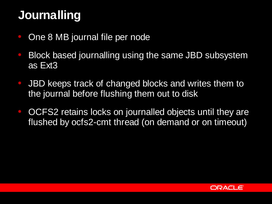## **Journalling**

- One 8 MB journal file per node
- Block based journalling using the same JBD subsystem as Ext3
- JBD keeps track of changed blocks and writes them to the journal before flushing them out to disk
- OCFS2 retains locks on journalled objects until they are flushed by ocfs2-cmt thread (on demand or on timeout)

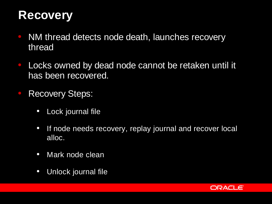#### **Recovery**

- NM thread detects node death, launches recovery thread
- Locks owned by dead node cannot be retaken until it has been recovered.
- Recovery Steps:
	- Lock journal file
	- If node needs recovery, replay journal and recover local alloc.
	- Mark node clean
	- Unlock journal file

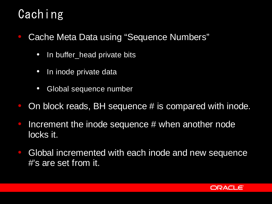# Caching

- Cache Meta Data using "Sequence Numbers"
	- In buffer\_head private bits
	- In inode private data
	- Global sequence number
- On block reads, BH sequence  $#$  is compared with inode.
- Increment the inode sequence  $#$  when another node locks it.
- Global incremented with each inode and new sequence #'s are set from it.

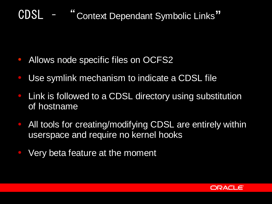## CDSL – " Context Dependant Symbolic Links**"**

- **Allows node specific files on OCFS2**
- Use symlink mechanism to indicate a CDSL file
- Link is followed to a CDSL directory using substitution of hostname
- All tools for creating/modifying CDSL are entirely within userspace and require no kernel hooks
- Very beta feature at the moment

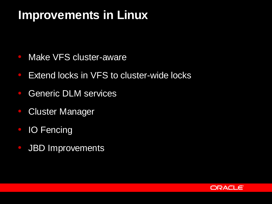#### **Improvements in Linux**

- Make VFS cluster-aware
- Extend locks in VFS to cluster-wide locks
- Generic DLM services
- **Cluster Manager**
- **IO Fencing**
- JBD Improvements

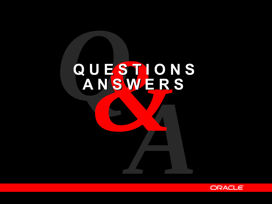# *AQ&***Q U E S T I O N S A N S W E R S**

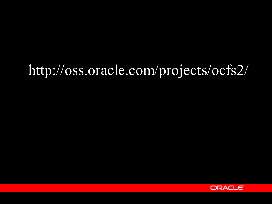# http://oss.oracle.com/projects/ocfs2/